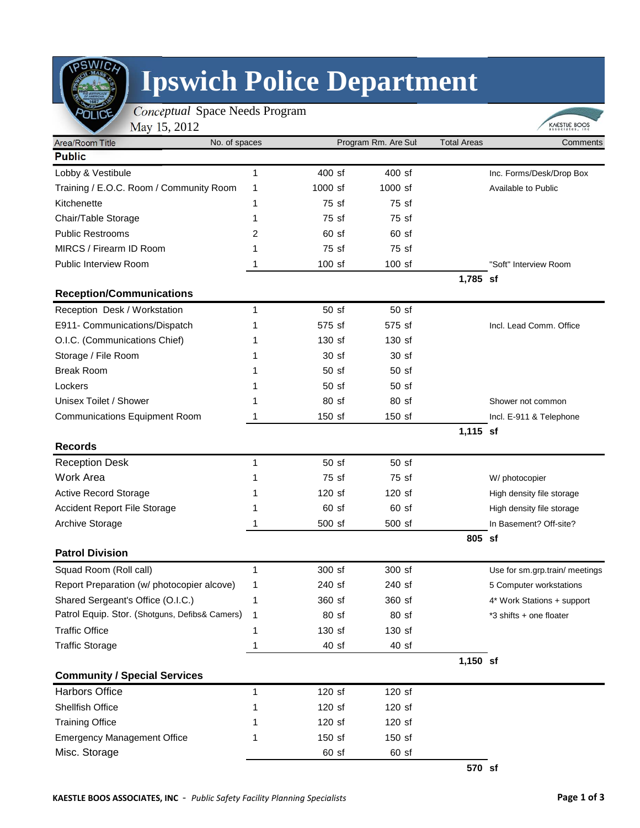

## **Ipswich Police Department**

 *Conceptual* Space Needs Program  $0.12$ 

| May 15, 2012<br>Area/Room Title                | No. of spaces | Program Rm. Are Sul |                  | <b>Total Areas</b> | Comments                       |  |
|------------------------------------------------|---------------|---------------------|------------------|--------------------|--------------------------------|--|
| <b>Public</b>                                  |               |                     |                  |                    |                                |  |
| Lobby & Vestibule                              | 1             | 400 sf              | 400 sf           |                    | Inc. Forms/Desk/Drop Box       |  |
| Training / E.O.C. Room / Community Room        | 1             | $1000$ sf           | 1000 sf          |                    | Available to Public            |  |
| Kitchenette                                    | 1             | 75 sf               | 75 sf            |                    |                                |  |
| Chair/Table Storage                            | 1             | 75 sf               | 75 sf            |                    |                                |  |
| <b>Public Restrooms</b>                        | 2             | 60 <sub>st</sub>    | 60 <sub>st</sub> |                    |                                |  |
| MIRCS / Firearm ID Room                        | 1             | 75 sf               | 75 sf            |                    |                                |  |
| Public Interview Room                          | 1             | $100$ sf            | $100$ sf         |                    | "Soft" Interview Room          |  |
|                                                |               |                     |                  | 1,785 sf           |                                |  |
| <b>Reception/Communications</b>                |               |                     |                  |                    |                                |  |
| Reception Desk / Workstation                   | 1             | 50 sf               | 50 sf            |                    |                                |  |
| E911- Communications/Dispatch                  | 1             | 575 sf              | 575 sf           |                    | Incl. Lead Comm. Office        |  |
| O.I.C. (Communications Chief)                  | 1             | $130$ sf            | 130 sf           |                    |                                |  |
| Storage / File Room                            | 1             | 30 <sub>st</sub>    | 30 <sub>st</sub> |                    |                                |  |
| <b>Break Room</b>                              | 1             | 50 <sub>sf</sub>    | 50 <sub>st</sub> |                    |                                |  |
| Lockers                                        | 1             | 50 <sub>st</sub>    | 50 <sub>st</sub> |                    |                                |  |
| Unisex Toilet / Shower                         | 1             | 80 sf               | 80 sf            |                    | Shower not common              |  |
| <b>Communications Equipment Room</b>           | 1             | 150 sf              | 150 sf           |                    | Incl. E-911 & Telephone        |  |
|                                                |               |                     |                  | 1,115 sf           |                                |  |
| <b>Records</b>                                 |               |                     |                  |                    |                                |  |
| <b>Reception Desk</b>                          | 1             | 50 sf               | 50 <sub>st</sub> |                    |                                |  |
| <b>Work Area</b>                               | 1             | 75 sf               | 75 sf            |                    | W/ photocopier                 |  |
| <b>Active Record Storage</b>                   | 1             | $120$ sf            | 120 sf           |                    | High density file storage      |  |
| <b>Accident Report File Storage</b>            | 1             | 60 <sub>st</sub>    | 60 <sub>st</sub> |                    | High density file storage      |  |
| <b>Archive Storage</b>                         | 1             | 500 sf              | 500 sf           |                    | In Basement? Off-site?         |  |
|                                                |               |                     |                  | 805 sf             |                                |  |
| <b>Patrol Division</b>                         |               |                     |                  |                    |                                |  |
| Squad Room (Roll call)                         | 1             | 300 sf              | 300 sf           |                    | Use for sm.grp.train/ meetings |  |
| Report Preparation (w/ photocopier alcove)     | 1             | 240 sf              | 240 sf           |                    | 5 Computer workstations        |  |
| Shared Sergeant's Office (O.I.C.)              | 1             | 360 sf              | 360 sf           |                    | 4* Work Stations + support     |  |
| Patrol Equip. Stor. (Shotguns, Defibs& Camers) | 1             | 80 sf               | 80 sf            |                    | *3 shifts + one floater        |  |
| <b>Traffic Office</b>                          | 1             | 130 sf              | 130 sf           |                    |                                |  |
| <b>Traffic Storage</b>                         | 1             | 40sf                | 40 sf            |                    |                                |  |
|                                                |               |                     |                  | $1,150$ sf         |                                |  |
| <b>Community / Special Services</b>            |               |                     |                  |                    |                                |  |
| <b>Harbors Office</b>                          | 1             | 120 sf              | 120 sf           |                    |                                |  |
| Shellfish Office                               | 1             | 120 sf              | 120 sf           |                    |                                |  |
| <b>Training Office</b>                         | 1             | 120 sf              | 120 sf           |                    |                                |  |
| <b>Emergency Management Office</b>             | 1             | 150 sf              | 150 sf           |                    |                                |  |
| Misc. Storage                                  |               | $60$ sf             | 60 sf            |                    |                                |  |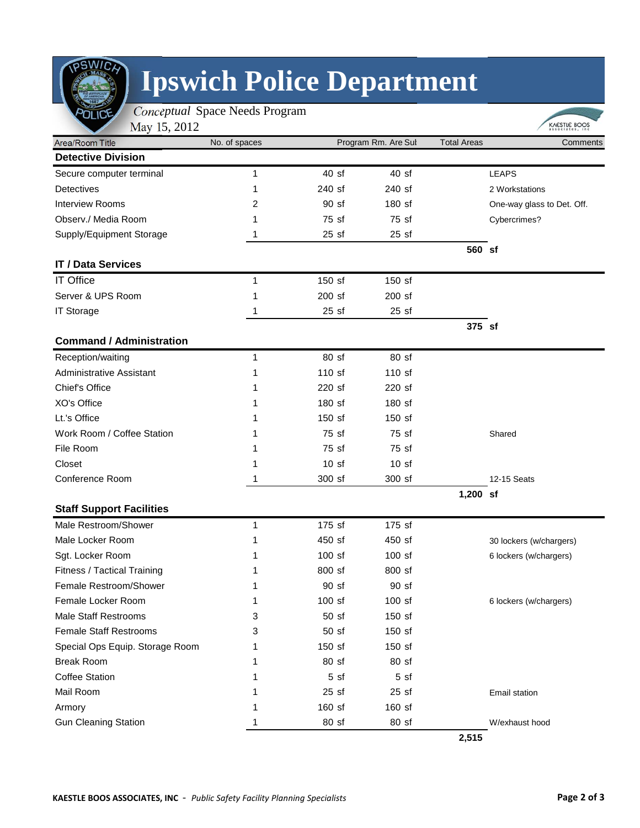

## **Ipswich Police Department**

| May 15, 2012<br>Area/Room Title |               | Program Rm. Are Sul |                  | <b>Total Areas</b> | KAESTLE BOOS               |
|---------------------------------|---------------|---------------------|------------------|--------------------|----------------------------|
| <b>Detective Division</b>       | No. of spaces |                     |                  |                    | Comments                   |
| Secure computer terminal        | 1             | 40sf                | 40sf             |                    | <b>LEAPS</b>               |
| Detectives                      | 1             | 240 sf              | 240 sf           |                    | 2 Workstations             |
| <b>Interview Rooms</b>          | 2             | 90 sf               | 180 sf           |                    | One-way glass to Det. Off. |
| Observ./ Media Room             |               | 75 sf               | 75 sf            |                    | Cybercrimes?               |
| Supply/Equipment Storage        |               | 25sf                | 25sf             |                    |                            |
|                                 |               |                     |                  | 560 sf             |                            |
| <b>IT / Data Services</b>       |               |                     |                  |                    |                            |
| <b>IT Office</b>                | 1             | 150 sf              | 150 sf           |                    |                            |
| Server & UPS Room               | 1             | 200 sf              | 200 sf           |                    |                            |
| <b>IT Storage</b>               |               | 25sf                | 25sf             |                    |                            |
|                                 |               |                     |                  | 375 sf             |                            |
| <b>Command / Administration</b> |               |                     |                  |                    |                            |
| Reception/waiting               | 1             | 80 sf               | 80 sf            |                    |                            |
| Administrative Assistant        | 1             | 110 sf              | 110 sf           |                    |                            |
| Chief's Office                  | 1             | 220 sf              | 220 sf           |                    |                            |
| XO's Office                     | 1             | 180 sf              | 180 sf           |                    |                            |
| Lt.'s Office                    | 1             | 150 sf              | 150 sf           |                    |                            |
| Work Room / Coffee Station      |               | 75 sf               | 75 sf            |                    | Shared                     |
| File Room                       |               | 75 sf               | 75 sf            |                    |                            |
| Closet                          |               | 10 <sub>st</sub>    | 10 <sub>st</sub> |                    |                            |
| Conference Room                 |               | 300 sf              | 300 sf           |                    | 12-15 Seats                |
|                                 |               |                     |                  | 1,200 sf           |                            |
| <b>Staff Support Facilities</b> |               |                     |                  |                    |                            |
| Male Restroom/Shower            | 1             | 175 sf              | 175 sf           |                    |                            |
| Male Locker Room                | 1             | 450 sf              | 450 sf           |                    | 30 lockers (w/chargers)    |
| Sgt. Locker Room                | 1             | $100$ sf            | $100$ sf         |                    | 6 lockers (w/chargers)     |
| Fitness / Tactical Training     |               | 800 sf              | 800 sf           |                    |                            |
| Female Restroom/Shower          | 1             | 90 sf               | 90 sf            |                    |                            |
| Female Locker Room              | 1             | 100 sf              | 100 sf           |                    | 6 lockers (w/chargers)     |
| <b>Male Staff Restrooms</b>     | 3             | 50 sf               | 150 sf           |                    |                            |
| <b>Female Staff Restrooms</b>   | 3             | 50 sf               | 150 sf           |                    |                            |
| Special Ops Equip. Storage Room |               | 150 sf              | 150 sf           |                    |                            |
| <b>Break Room</b>               | 1             | 80 sf               | 80 sf            |                    |                            |
| <b>Coffee Station</b>           | 1             | 5 <sub>sf</sub>     | 5 sf             |                    |                            |
| Mail Room                       |               | 25sf                | 25sf             |                    | Email station              |
| Armory                          |               | 160 sf              | 160 sf           |                    |                            |
| <b>Gun Cleaning Station</b>     |               | $80$ sf             | 80 sf            |                    | W/exhaust hood             |

 **2,515**